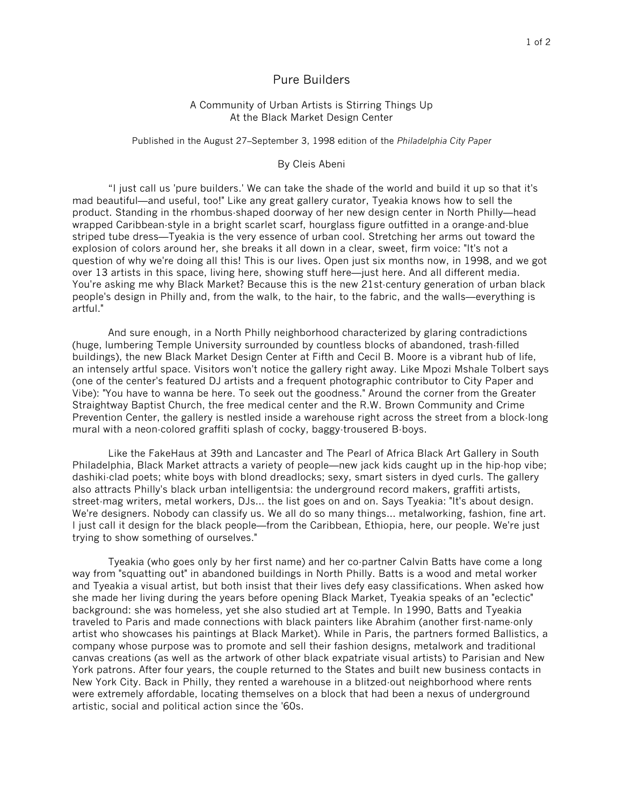## Pure Builders

## A Community of Urban Artists is Stirring Things Up At the Black Market Design Center

## Published in the August 27–September 3, 1998 edition of the *Philadelphia City Paper*

## By Cleis Abeni

"I just call us 'pure builders.' We can take the shade of the world and build it up so that it's mad beautiful—and useful, too!" Like any great gallery curator, Tyeakia knows how to sell the product. Standing in the rhombus-shaped doorway of her new design center in North Philly—head wrapped Caribbean-style in a bright scarlet scarf, hourglass figure outfitted in a orange-and-blue striped tube dress—Tyeakia is the very essence of urban cool. Stretching her arms out toward the explosion of colors around her, she breaks it all down in a clear, sweet, firm voice: "It's not a question of why we're doing all this! This is our lives. Open just six months now, in 1998, and we got over 13 artists in this space, living here, showing stuff here—just here. And all different media. You're asking me why Black Market? Because this is the new 21st-century generation of urban black people's design in Philly and, from the walk, to the hair, to the fabric, and the walls—everything is artful."

And sure enough, in a North Philly neighborhood characterized by glaring contradictions (huge, lumbering Temple University surrounded by countless blocks of abandoned, trash-filled buildings), the new Black Market Design Center at Fifth and Cecil B. Moore is a vibrant hub of life, an intensely artful space. Visitors won't notice the gallery right away. Like Mpozi Mshale Tolbert says (one of the center's featured DJ artists and a frequent photographic contributor to City Paper and Vibe): "You have to wanna be here. To seek out the goodness." Around the corner from the Greater Straightway Baptist Church, the free medical center and the R.W. Brown Community and Crime Prevention Center, the gallery is nestled inside a warehouse right across the street from a block-long mural with a neon-colored graffiti splash of cocky, baggy-trousered B-boys.

Like the FakeHaus at 39th and Lancaster and The Pearl of Africa Black Art Gallery in South Philadelphia, Black Market attracts a variety of people—new jack kids caught up in the hip-hop vibe; dashiki-clad poets; white boys with blond dreadlocks; sexy, smart sisters in dyed curls. The gallery also attracts Philly's black urban intelligentsia: the underground record makers, graffiti artists, street-mag writers, metal workers, DJs… the list goes on and on. Says Tyeakia: "It's about design. We're designers. Nobody can classify us. We all do so many things… metalworking, fashion, fine art. I just call it design for the black people—from the Caribbean, Ethiopia, here, our people. We're just trying to show something of ourselves."

Tyeakia (who goes only by her first name) and her co-partner Calvin Batts have come a long way from "squatting out" in abandoned buildings in North Philly. Batts is a wood and metal worker and Tyeakia a visual artist, but both insist that their lives defy easy classifications. When asked how she made her living during the years before opening Black Market, Tyeakia speaks of an "eclectic" background: she was homeless, yet she also studied art at Temple. In 1990, Batts and Tyeakia traveled to Paris and made connections with black painters like Abrahim (another first-name-only artist who showcases his paintings at Black Market). While in Paris, the partners formed Ballistics, a company whose purpose was to promote and sell their fashion designs, metalwork and traditional canvas creations (as well as the artwork of other black expatriate visual artists) to Parisian and New York patrons. After four years, the couple returned to the States and built new business contacts in New York City. Back in Philly, they rented a warehouse in a blitzed-out neighborhood where rents were extremely affordable, locating themselves on a block that had been a nexus of underground artistic, social and political action since the '60s.